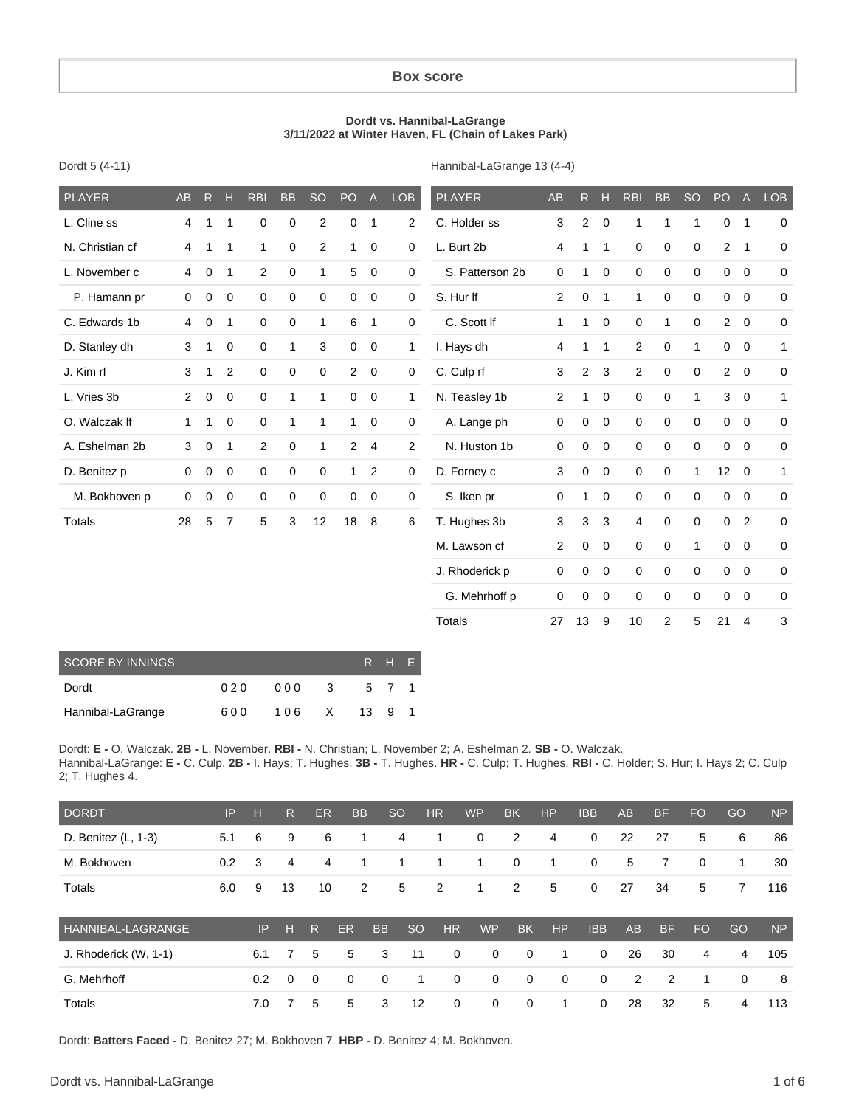#### **Box score**

#### **Dordt vs. Hannibal-LaGrange 3/11/2022 at Winter Haven, FL (Chain of Lakes Park)**

| Dordt 5 (4-11) |  |  |  |
|----------------|--|--|--|
|----------------|--|--|--|

Hannibal-LaGrange 13 (4-4)

| <b>PLAYER</b>   | <b>AB</b>      | R           | H              | <b>RBI</b>     | <b>BB</b>   | <b>SO</b>      | PO             | $\mathsf{A}$            | <b>LOB</b>     | <b>PLAYER</b>   | AB             |                | $R$ H        | <b>RBI</b>     | <b>BB</b>    | <b>SO</b>   | PO             | $\mathsf{A}$   | <b>LOB</b>   |
|-----------------|----------------|-------------|----------------|----------------|-------------|----------------|----------------|-------------------------|----------------|-----------------|----------------|----------------|--------------|----------------|--------------|-------------|----------------|----------------|--------------|
| L. Cline ss     | 4              | 1           | 1              | $\mathbf 0$    | 0           | $\overline{c}$ | 0              | $\mathbf{1}$            | $\overline{2}$ | C. Holder ss    | 3              | $\mathbf{2}$   | $\mathbf 0$  | $\mathbf 1$    | 1            | 1           | 0              | $\overline{1}$ | 0            |
| N. Christian cf | 4              | 1           | 1              | $\mathbf{1}$   | $\mathbf 0$ | $\overline{2}$ | 1              | $\mathbf 0$             | 0              | L. Burt 2b      | 4              | 1              | $\mathbf{1}$ | $\mathbf 0$    | $\mathbf 0$  | $\mathbf 0$ | $\overline{2}$ | $\overline{1}$ | 0            |
| L. November c   | 4              | $\mathbf 0$ | 1              | $\overline{2}$ | $\mathbf 0$ | 1              | 5              | $\mathbf 0$             | 0              | S. Patterson 2b | 0              | 1              | $\mathbf 0$  | 0              | $\mathbf 0$  | $\Omega$    |                | $0\quad 0$     | 0            |
| P. Hamann pr    | 0              | $\pmb{0}$   | $\mathbf 0$    | $\mathbf 0$    | $\mathbf 0$ | $\mathbf 0$    | 0              | $\overline{0}$          | 0              | S. Hur If       | $\overline{2}$ | 0              | $\mathbf{1}$ | $\mathbf{1}$   | $\mathbf 0$  | $\Omega$    | $\mathbf{0}$   | $\overline{0}$ | 0            |
| C. Edwards 1b   | 4              | $\mathbf 0$ | 1              | $\mathbf 0$    | $\mathbf 0$ | 1              | 6              | $\mathbf{1}$            | $\mathbf 0$    | C. Scott If     | 1              | 1              | $\mathbf 0$  | 0              | $\mathbf{1}$ | $\mathbf 0$ | $\overline{a}$ | $\overline{0}$ | 0            |
| D. Stanley dh   | 3              | 1           | $\mathbf 0$    | $\mathbf 0$    | 1           | 3              | 0              | $\overline{\mathbf{0}}$ | 1              | I. Hays dh      | 4              | 1              | $\mathbf{1}$ | 2              | $\mathbf 0$  | 1           | $\mathbf{0}$   | $\overline{0}$ | $\mathbf{1}$ |
| J. Kim rf       | 3              | 1           | 2              | $\mathbf 0$    | $\mathbf 0$ | $\mathbf 0$    | $\overline{2}$ | $\mathbf 0$             | $\mathbf 0$    | C. Culp rf      | 3              | $\overline{2}$ | 3            | $\overline{2}$ | $\mathbf 0$  | $\mathbf 0$ | $\overline{2}$ | $\mathbf 0$    | 0            |
| L. Vries 3b     | $\overline{2}$ | $\mathbf 0$ | $\mathbf 0$    | $\mathbf 0$    | 1           | 1              | 0              | $\overline{0}$          | 1              | N. Teasley 1b   | $\overline{2}$ | 1              | $\mathbf 0$  | 0              | $\mathbf 0$  | 1           | 3              | $\mathbf 0$    | $\mathbf{1}$ |
| O. Walczak If   | 1.             | 1           | $\mathbf 0$    | $\mathbf 0$    | 1           | 1              | 1              | $\mathbf 0$             | $\mathbf 0$    | A. Lange ph     | $\mathbf 0$    | 0              | $\mathbf 0$  | 0              | $\mathbf 0$  | $\Omega$    | $\mathbf 0$    | $\overline{0}$ | 0            |
| A. Eshelman 2b  | 3              | 0           | 1              | $\overline{2}$ | 0           | 1              | $\overline{2}$ | 4                       | $\overline{2}$ | N. Huston 1b    | 0              | 0              | $\mathbf 0$  | 0              | 0            | $\Omega$    | $\mathbf 0$    | $\mathbf 0$    | 0            |
| D. Benitez p    | 0              | $\mathbf 0$ | $\mathbf 0$    | $\mathbf 0$    | 0           | $\mathbf 0$    | 1              | 2                       | $\mathbf 0$    | D. Forney c     | 3              | 0              | $\mathbf 0$  | 0              | $\mathbf 0$  | 1           | 12             | $\overline{0}$ | 1            |
| M. Bokhoven p   | $\mathbf 0$    | $\mathbf 0$ | 0              | $\mathbf 0$    | $\mathbf 0$ | $\mathbf 0$    | 0              | $\overline{0}$          | $\mathbf 0$    | S. Iken pr      | 0              | 1              | $\mathbf 0$  | 0              | $\mathbf 0$  | $\Omega$    | $\mathbf 0$    | $\mathbf 0$    | $\mathbf 0$  |
| Totals          | 28             | 5           | $\overline{7}$ | 5              | 3           | 12             | 18             | 8                       | 6              | T. Hughes 3b    | 3              | 3              | 3            | 4              | $\mathbf 0$  | 0           | 0              | $\overline{2}$ | 0            |
|                 |                |             |                |                |             |                |                |                         |                | M. Lawson cf    | $\overline{2}$ | 0              | $\mathbf 0$  | 0              | $\mathbf 0$  | 1           | 0              | $\overline{0}$ | 0            |
|                 |                |             |                |                |             |                |                |                         |                | J. Rhoderick p  | 0              | 0              | 0            | 0              | $\mathbf 0$  | $\Omega$    | $\mathbf 0$    | $\mathbf 0$    | 0            |
|                 |                |             |                |                |             |                |                |                         |                | G. Mehrhoff p   | $\mathbf 0$    | $\mathbf 0$    | $\mathbf 0$  | 0              | $\mathbf 0$  | $\mathbf 0$ | 0              | $\mathbf 0$    | 0            |
|                 |                |             |                |                |             |                |                |                         |                | <b>Totals</b>   | 27             | 13             | 9            | 10             | 2            | 5           | 21             | $\overline{4}$ | 3            |

| SCORE BY INNINGS  |     |     |    |      | R H F |  |
|-------------------|-----|-----|----|------|-------|--|
| Dordt             | 020 | 000 | -3 |      | 5 7 1 |  |
| Hannibal-LaGrange | 600 | 106 | X  | - 13 | 91    |  |

Dordt: **E -** O. Walczak. **2B -** L. November. **RBI -** N. Christian; L. November 2; A. Eshelman 2. **SB -** O. Walczak. Hannibal-LaGrange: **E -** C. Culp. **2B -** I. Hays; T. Hughes. **3B -** T. Hughes. **HR -** C. Culp; T. Hughes. **RBI -** C. Holder; S. Hur; I. Hays 2; C. Culp 2; T. Hughes 4.

| <b>DORDT</b>             | IP  | н   | $\mathsf{R}$ | ER          | <b>BB</b>   |             | <sub>SO</sub> | <b>HR</b>   | <b>WP</b>   | <b>BK</b>   | <b>HP</b>   | <b>IBB</b>  | AB             | <b>BF</b> | FO.       | GO       | <b>NP</b> |
|--------------------------|-----|-----|--------------|-------------|-------------|-------------|---------------|-------------|-------------|-------------|-------------|-------------|----------------|-----------|-----------|----------|-----------|
| D. Benitez (L, 1-3)      | 5.1 | 6   | 9            | 6           |             | 1           | 4             | 1           | 0           | 2           | 4           | $\mathbf 0$ | 22             | 27        | 5         | 6        | 86        |
| M. Bokhoven              | 0.2 | 3   | 4            | 4           |             | 1           |               | 1           | 1           | 0           | 1           | 0           | 5              | 7         | 0         | 1        | 30        |
| Totals                   | 6.0 | 9   | 13           | 10          |             | 2           | 5             | 2           | 1           | 2           | 5           | $\mathbf 0$ | 27             | 34        | 5         | 7        | 116       |
| <b>HANNIBAL-LAGRANGE</b> |     | IP  | н            | R.          | <b>ER</b>   | <b>BB</b>   | <sub>SO</sub> | HR          | <b>WP</b>   | <b>BK</b>   | HP          | <b>IBB</b>  | AB             | <b>BF</b> | <b>FO</b> | GO       | <b>NP</b> |
| J. Rhoderick (W, 1-1)    |     | 6.1 | 7            | 5           | 5           | 3           | 11            | $\mathbf 0$ | $\mathbf 0$ | $\mathbf 0$ | 1           | $\mathbf 0$ | 26             | 30        | 4         | 4        | 105       |
| G. Mehrhoff              |     | 0.2 | $\Omega$     | $\mathbf 0$ | $\mathbf 0$ | $\mathbf 0$ | 1             | $\mathbf 0$ | $\mathbf 0$ | $\mathbf 0$ | $\mathbf 0$ | $\mathbf 0$ | $\overline{2}$ | 2         | 1         | $\Omega$ | 8         |
| <b>Totals</b>            |     | 7.0 |              | 5           | 5           | 3           | 12            | 0           | 0           | $\mathbf 0$ | 1           | $\mathbf 0$ | 28             | 32        | 5         | 4        | 113       |

Dordt: **Batters Faced -** D. Benitez 27; M. Bokhoven 7. **HBP -** D. Benitez 4; M. Bokhoven.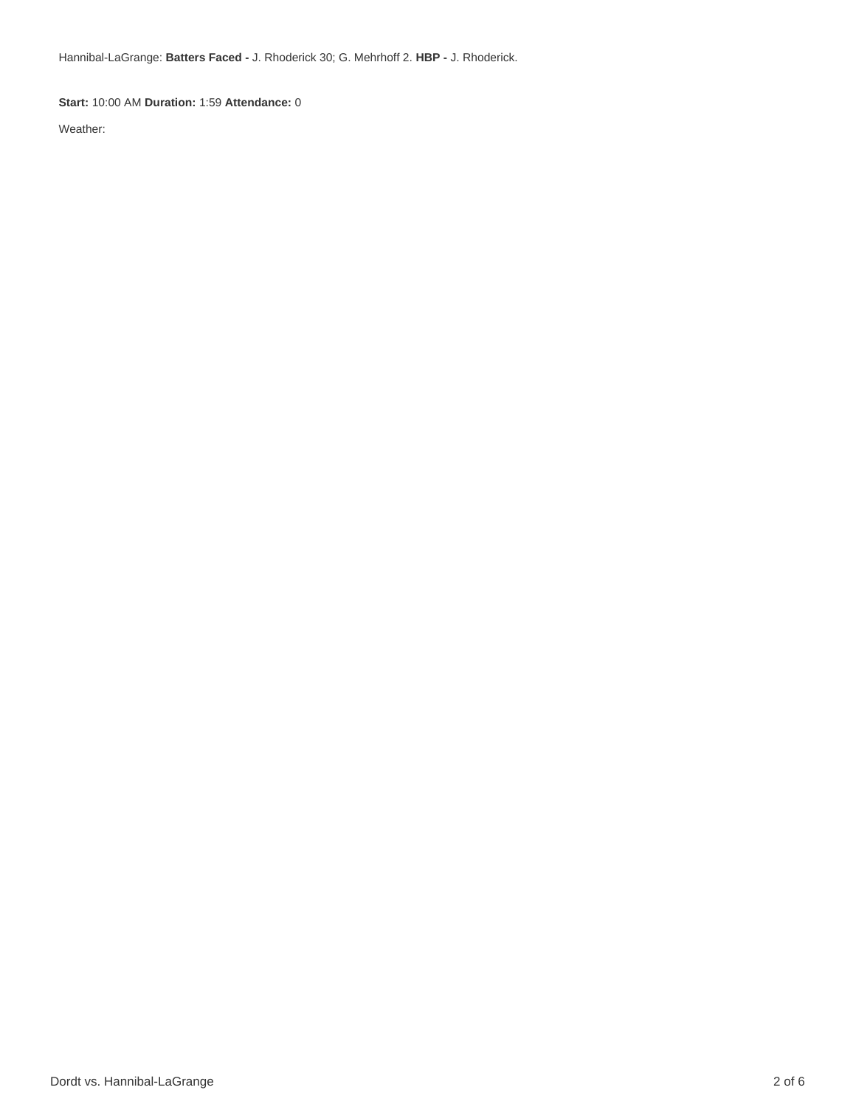Hannibal-LaGrange: **Batters Faced -** J. Rhoderick 30; G. Mehrhoff 2. **HBP -** J. Rhoderick.

**Start:** 10:00 AM **Duration:** 1:59 **Attendance:** 0

Weather: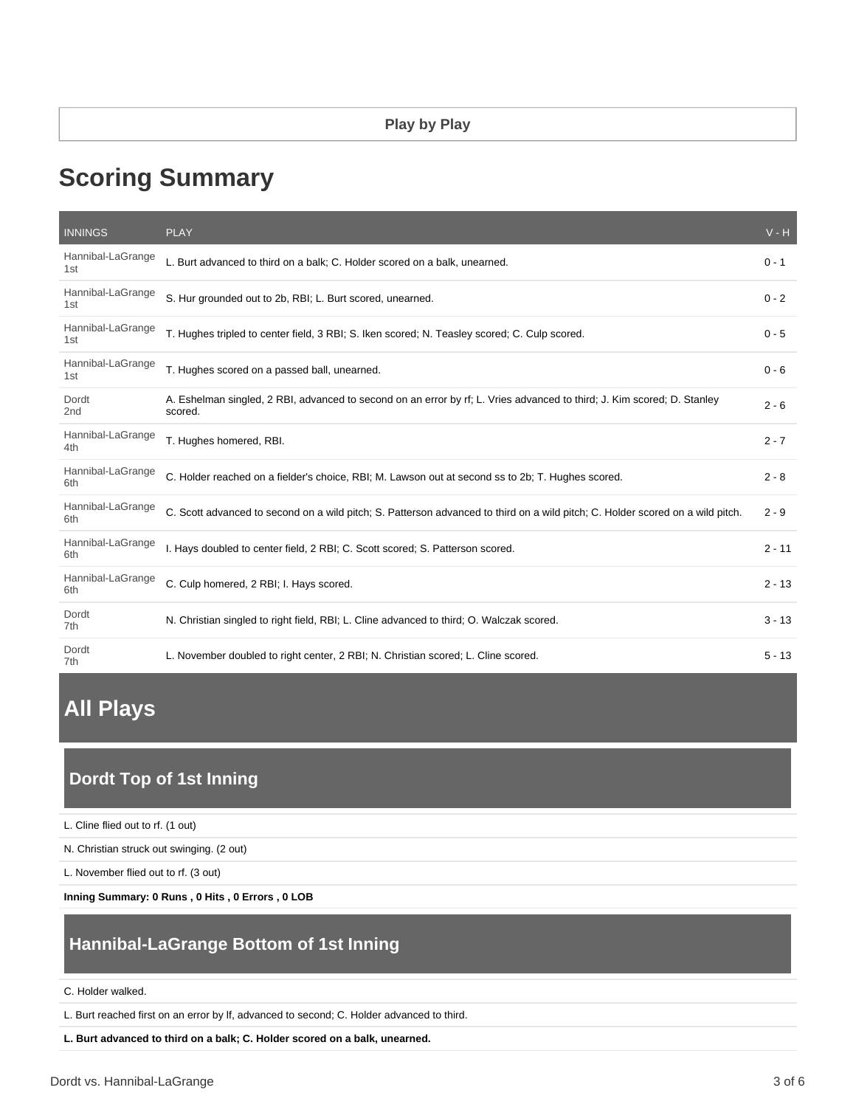# **Scoring Summary**

| <b>INNINGS</b>           | <b>PLAY</b>                                                                                                                        | $V - H$  |
|--------------------------|------------------------------------------------------------------------------------------------------------------------------------|----------|
| Hannibal-LaGrange<br>1st | L. Burt advanced to third on a balk; C. Holder scored on a balk, unearned.                                                         | $0 - 1$  |
| Hannibal-LaGrange<br>1st | S. Hur grounded out to 2b, RBI; L. Burt scored, unearned.                                                                          | $0 - 2$  |
| Hannibal-LaGrange<br>1st | T. Hughes tripled to center field, 3 RBI; S. Iken scored; N. Teasley scored; C. Culp scored.                                       | $0 - 5$  |
| Hannibal-LaGrange<br>1st | T. Hughes scored on a passed ball, unearned.                                                                                       | $0 - 6$  |
| Dordt<br>2nd             | A. Eshelman singled, 2 RBI, advanced to second on an error by rf; L. Vries advanced to third; J. Kim scored; D. Stanley<br>scored. | $2 - 6$  |
| Hannibal-LaGrange<br>4th | T. Hughes homered, RBI.                                                                                                            | $2 - 7$  |
| Hannibal-LaGrange<br>6th | C. Holder reached on a fielder's choice, RBI; M. Lawson out at second ss to 2b; T. Hughes scored.                                  | $2 - 8$  |
| Hannibal-LaGrange<br>6th | C. Scott advanced to second on a wild pitch; S. Patterson advanced to third on a wild pitch; C. Holder scored on a wild pitch.     | $2 - 9$  |
| Hannibal-LaGrange<br>6th | I. Hays doubled to center field, 2 RBI; C. Scott scored; S. Patterson scored.                                                      | $2 - 11$ |
| Hannibal-LaGrange<br>6th | C. Culp homered, 2 RBI; I. Hays scored.                                                                                            | $2 - 13$ |
| Dordt<br>7th             | N. Christian singled to right field, RBI; L. Cline advanced to third; O. Walczak scored.                                           | $3 - 13$ |
| Dordt<br>7th             | L. November doubled to right center, 2 RBI; N. Christian scored; L. Cline scored.                                                  | $5 - 13$ |

# **All Plays**

# **Dordt Top of 1st Inning**

L. Cline flied out to rf. (1 out)

N. Christian struck out swinging. (2 out)

L. November flied out to rf. (3 out)

**Inning Summary: 0 Runs , 0 Hits , 0 Errors , 0 LOB**

# **Hannibal-LaGrange Bottom of 1st Inning**

#### C. Holder walked.

L. Burt reached first on an error by lf, advanced to second; C. Holder advanced to third.

**L. Burt advanced to third on a balk; C. Holder scored on a balk, unearned.**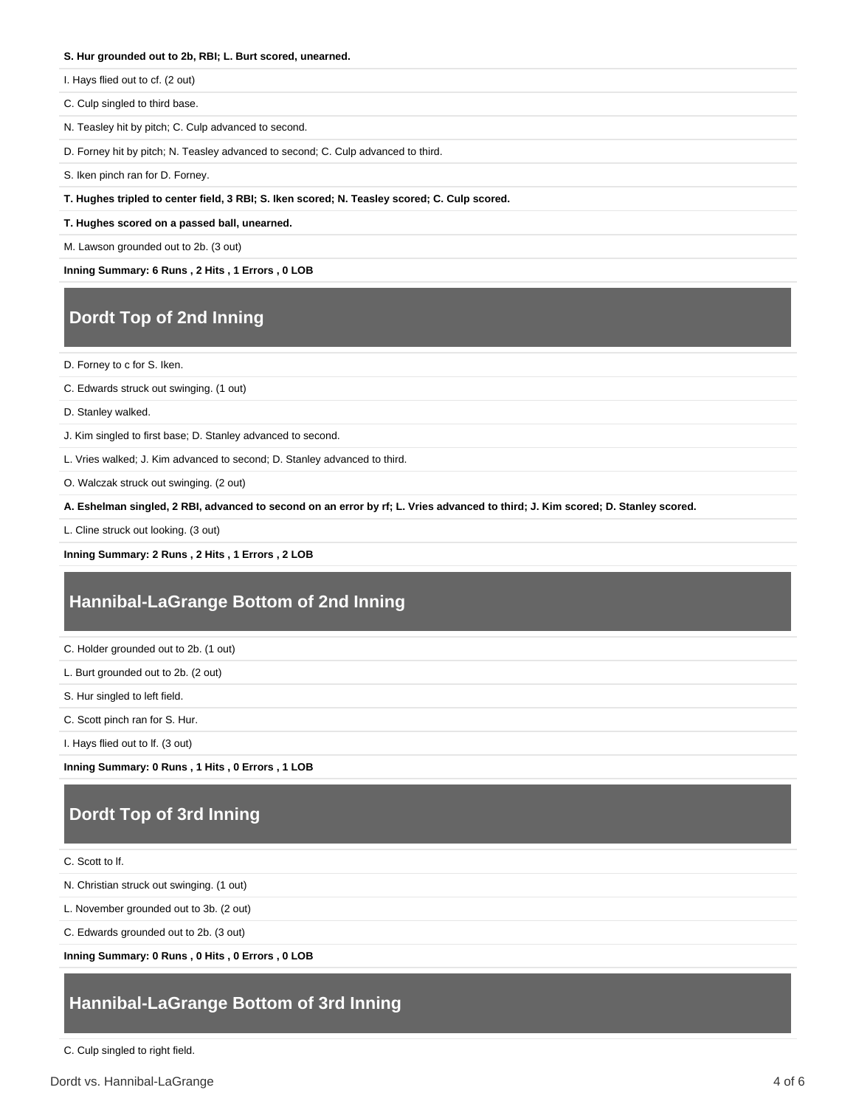#### **S. Hur grounded out to 2b, RBI; L. Burt scored, unearned.**

I. Hays flied out to cf. (2 out)

C. Culp singled to third base.

N. Teasley hit by pitch; C. Culp advanced to second.

D. Forney hit by pitch; N. Teasley advanced to second; C. Culp advanced to third.

S. Iken pinch ran for D. Forney.

**T. Hughes tripled to center field, 3 RBI; S. Iken scored; N. Teasley scored; C. Culp scored.**

**T. Hughes scored on a passed ball, unearned.**

M. Lawson grounded out to 2b. (3 out)

**Inning Summary: 6 Runs , 2 Hits , 1 Errors , 0 LOB**

### **Dordt Top of 2nd Inning**

D. Forney to c for S. Iken.

C. Edwards struck out swinging. (1 out)

D. Stanley walked.

J. Kim singled to first base; D. Stanley advanced to second.

L. Vries walked; J. Kim advanced to second; D. Stanley advanced to third.

O. Walczak struck out swinging. (2 out)

**A. Eshelman singled, 2 RBI, advanced to second on an error by rf; L. Vries advanced to third; J. Kim scored; D. Stanley scored.**

L. Cline struck out looking. (3 out)

**Inning Summary: 2 Runs , 2 Hits , 1 Errors , 2 LOB**

### **Hannibal-LaGrange Bottom of 2nd Inning**

C. Holder grounded out to 2b. (1 out)

L. Burt grounded out to 2b. (2 out)

S. Hur singled to left field.

C. Scott pinch ran for S. Hur.

I. Hays flied out to lf. (3 out)

**Inning Summary: 0 Runs , 1 Hits , 0 Errors , 1 LOB**

# **Dordt Top of 3rd Inning**

C. Scott to lf.

N. Christian struck out swinging. (1 out)

L. November grounded out to 3b. (2 out)

C. Edwards grounded out to 2b. (3 out)

**Inning Summary: 0 Runs , 0 Hits , 0 Errors , 0 LOB**

## **Hannibal-LaGrange Bottom of 3rd Inning**

C. Culp singled to right field.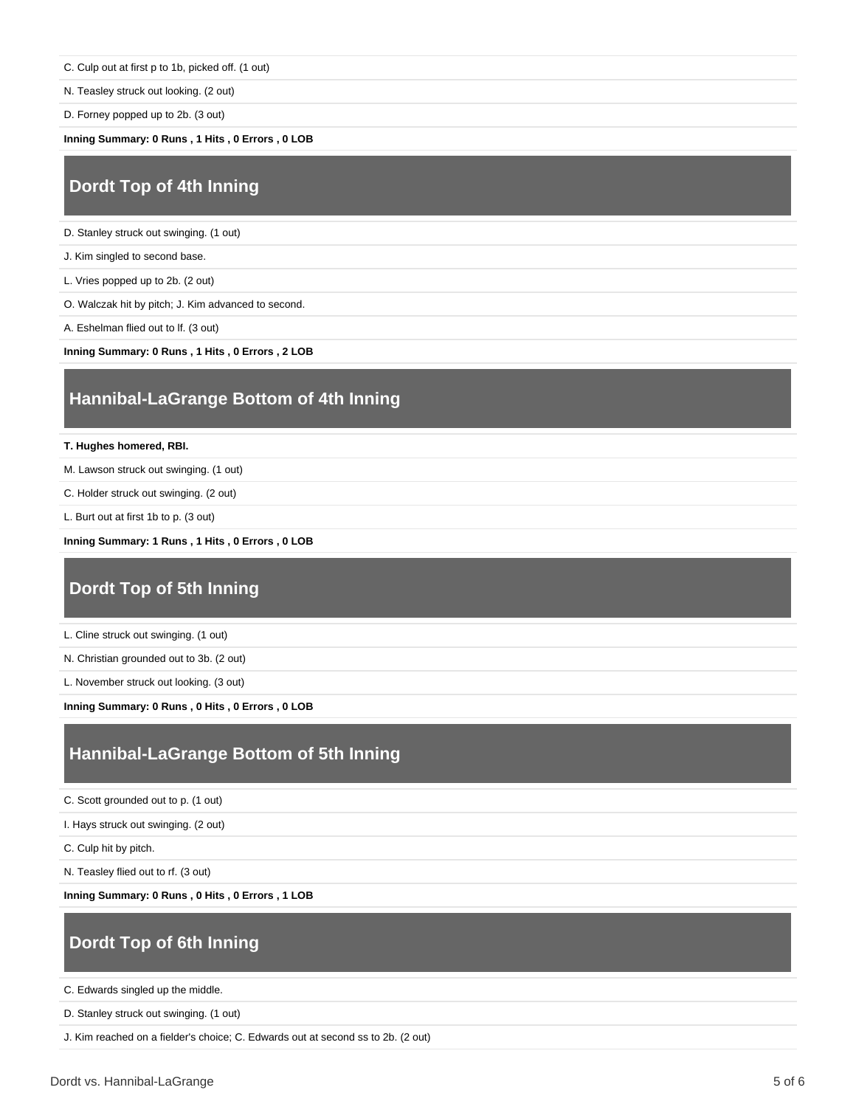C. Culp out at first p to 1b, picked off. (1 out)

N. Teasley struck out looking. (2 out)

D. Forney popped up to 2b. (3 out)

**Inning Summary: 0 Runs , 1 Hits , 0 Errors , 0 LOB**

## **Dordt Top of 4th Inning**

D. Stanley struck out swinging. (1 out)

J. Kim singled to second base.

L. Vries popped up to 2b. (2 out)

O. Walczak hit by pitch; J. Kim advanced to second.

A. Eshelman flied out to lf. (3 out)

**Inning Summary: 0 Runs , 1 Hits , 0 Errors , 2 LOB**

### **Hannibal-LaGrange Bottom of 4th Inning**

**T. Hughes homered, RBI.**

M. Lawson struck out swinging. (1 out)

C. Holder struck out swinging. (2 out)

L. Burt out at first 1b to p. (3 out)

**Inning Summary: 1 Runs , 1 Hits , 0 Errors , 0 LOB**

### **Dordt Top of 5th Inning**

L. Cline struck out swinging. (1 out)

N. Christian grounded out to 3b. (2 out)

L. November struck out looking. (3 out)

**Inning Summary: 0 Runs , 0 Hits , 0 Errors , 0 LOB**

### **Hannibal-LaGrange Bottom of 5th Inning**

C. Scott grounded out to p. (1 out)

I. Hays struck out swinging. (2 out)

C. Culp hit by pitch.

N. Teasley flied out to rf. (3 out)

**Inning Summary: 0 Runs , 0 Hits , 0 Errors , 1 LOB**

# **Dordt Top of 6th Inning**

C. Edwards singled up the middle.

D. Stanley struck out swinging. (1 out)

J. Kim reached on a fielder's choice; C. Edwards out at second ss to 2b. (2 out)